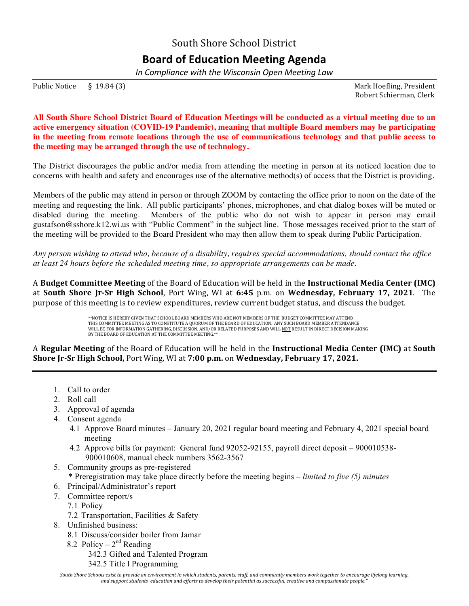South Shore School District

## **Board of Education Meeting Agenda**

*In Compliance with the Wisconsin Open Meeting Law*

Public Notice § 19.84 (3) Solution 2. The Solution of the Solution of the Mark Hoefling, President

 Robert Schierman, Clerk

**All South Shore School District Board of Education Meetings will be conducted as a virtual meeting due to an active emergency situation (COVID-19 Pandemic), meaning that multiple Board members may be participating in the meeting from remote locations through the use of communications technology and that public access to the meeting may be arranged through the use of technology.**

The District discourages the public and/or media from attending the meeting in person at its noticed location due to concerns with health and safety and encourages use of the alternative method(s) of access that the District is providing.

Members of the public may attend in person or through ZOOM by contacting the office prior to noon on the date of the meeting and requesting the link. All public participants' phones, microphones, and chat dialog boxes will be muted or disabled during the meeting. Members of the public who do not wish to appear in person may email gustafson@sshore.k12.wi.us with "Public Comment" in the subject line. Those messages received prior to the start of the meeting will be provided to the Board President who may then allow them to speak during Public Participation.

*Any person wishing to attend who, because of a disability, requires special accommodations, should contact the office at least 24 hours before the scheduled meeting time, so appropriate arrangements can be made.*

A **Budget Committee Meeting** of the Board of Education will be held in the **Instructional Media Center (IMC)** at South Shore Jr-Sr High School, Port Wing, WI at 6:45 p.m. on Wednesday, February 17, 2021. The purpose of this meeting is to review expenditures, review current budget status, and discuss the budget.

> \*\*NOTICE IS HEREBY GIVEN THAT SCHOOL BOARD MEMBERS WHO ARE NOT MEMBERS OF THE BUDGET COMMITTEE MAY ATTEND THIS COMMITTEE MEETING AS TO CONSTITUTE A QUORUM OF THE BOARD OF EDUCATION. ANY SUCH BOARD MEMBER ATTENDANCE WILL BE FOR INFORMATION GATHERING, DISCUSSION, AND/OR RELATED PURPOSES AND WILL <u>NOT</u> RESULT IN DIRECT DECISION MAKING<br>BY THE BOARD OF EDUCATION AT THE COMMITTEE MEETING.\*\*

A Regular Meeting of the Board of Education will be held in the Instructional Media Center (IMC) at South **Shore Jr-Sr High School,** Port Wing, WI at 7:00 p.m. on Wednesday, February 17, 2021.

- 1. Call to order
- 2. Roll call
- 3. Approval of agenda
- 4. Consent agenda
	- 4.1 Approve Board minutes January 20, 2021 regular board meeting and February 4, 2021 special board meeting
	- 4.2 Approve bills for payment: General fund 92052-92155, payroll direct deposit 900010538- 900010608, manual check numbers 3562-3567
- 5. Community groups as pre-registered
	- \* Preregistration may take place directly before the meeting begins *limited to five (5) minutes*
- 6. Principal/Administrator's report
- 7. Committee report/s
	- 7.1 Policy
	- 7.2 Transportation, Facilities & Safety
- 8. Unfinished business:
	- 8.1 Discuss/consider boiler from Jamar
	- 8.2 Policy  $2<sup>nd</sup>$  Reading
		- 342.3 Gifted and Talented Program
		- 342.5 Title l Programming